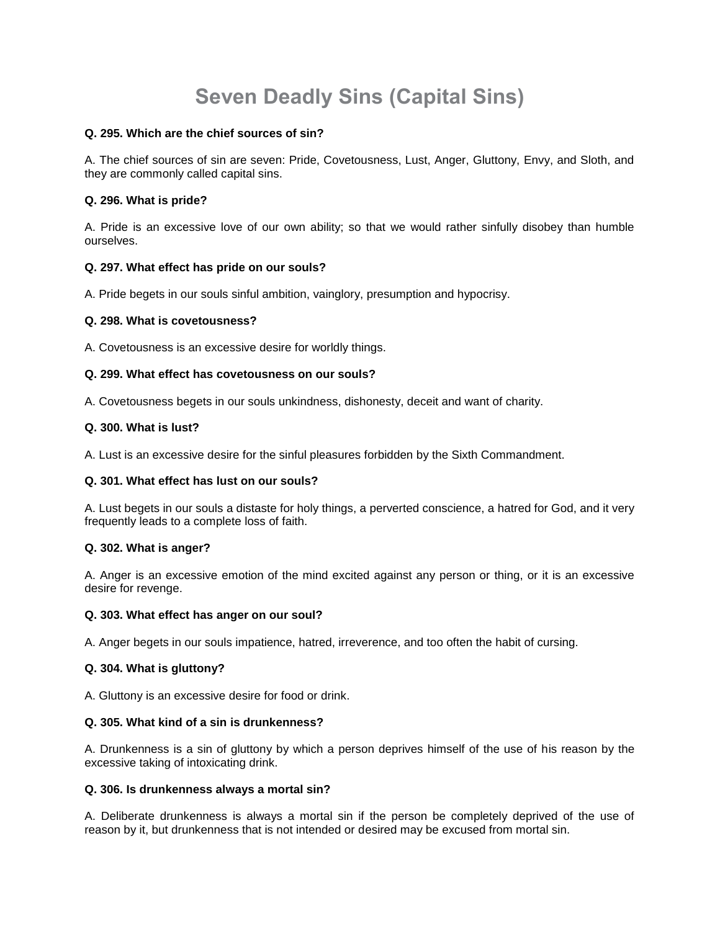# **Seven Deadly Sins (Capital Sins)**

## **Q. 295. Which are the chief sources of sin?**

A. The chief sources of sin are seven: Pride, Covetousness, Lust, Anger, Gluttony, Envy, and Sloth, and they are commonly called capital sins.

## **Q. 296. What is pride?**

A. Pride is an excessive love of our own ability; so that we would rather sinfully disobey than humble ourselves.

## **Q. 297. What effect has pride on our souls?**

A. Pride begets in our souls sinful ambition, vainglory, presumption and hypocrisy.

## **Q. 298. What is covetousness?**

A. Covetousness is an excessive desire for worldly things.

## **Q. 299. What effect has covetousness on our souls?**

A. Covetousness begets in our souls unkindness, dishonesty, deceit and want of charity.

## **Q. 300. What is lust?**

A. Lust is an excessive desire for the sinful pleasures forbidden by the Sixth Commandment.

# **Q. 301. What effect has lust on our souls?**

A. Lust begets in our souls a distaste for holy things, a perverted conscience, a hatred for God, and it very frequently leads to a complete loss of faith.

## **Q. 302. What is anger?**

A. Anger is an excessive emotion of the mind excited against any person or thing, or it is an excessive desire for revenge.

## **Q. 303. What effect has anger on our soul?**

A. Anger begets in our souls impatience, hatred, irreverence, and too often the habit of cursing.

# **Q. 304. What is gluttony?**

A. Gluttony is an excessive desire for food or drink.

## **Q. 305. What kind of a sin is drunkenness?**

A. Drunkenness is a sin of gluttony by which a person deprives himself of the use of his reason by the excessive taking of intoxicating drink.

## **Q. 306. Is drunkenness always a mortal sin?**

A. Deliberate drunkenness is always a mortal sin if the person be completely deprived of the use of reason by it, but drunkenness that is not intended or desired may be excused from mortal sin.